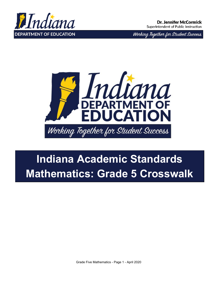

Working Together for Student Success



# **Indiana Academic Standards Mathematics: Grade 5 Crosswalk**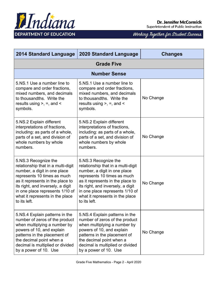

Superintendent of Public Instruction

| <b>2014 Standard Language</b>                                                                                                                                                                                                                                                            | <b>2020 Standard Language</b>                                                                                                                                                                                                                                                            | <b>Changes</b> |
|------------------------------------------------------------------------------------------------------------------------------------------------------------------------------------------------------------------------------------------------------------------------------------------|------------------------------------------------------------------------------------------------------------------------------------------------------------------------------------------------------------------------------------------------------------------------------------------|----------------|
|                                                                                                                                                                                                                                                                                          | <b>Grade Five</b>                                                                                                                                                                                                                                                                        |                |
|                                                                                                                                                                                                                                                                                          | <b>Number Sense</b>                                                                                                                                                                                                                                                                      |                |
| 5.NS.1 Use a number line to<br>compare and order fractions,<br>mixed numbers, and decimals<br>to thousandths. Write the<br>results using $>$ , $=$ , and $\le$<br>symbols.                                                                                                               | 5.NS.1 Use a number line to<br>compare and order fractions,<br>mixed numbers, and decimals<br>to thousandths. Write the<br>results using $>$ , $=$ , and $\le$<br>symbols.                                                                                                               | No Change      |
| 5.NS.2 Explain different<br>interpretations of fractions,<br>including: as parts of a whole,<br>parts of a set, and division of<br>whole numbers by whole<br>numbers.                                                                                                                    | 5.NS.2 Explain different<br>interpretations of fractions,<br>including: as parts of a whole,<br>parts of a set, and division of<br>whole numbers by whole<br>numbers.                                                                                                                    | No Change      |
| 5.NS.3 Recognize the<br>relationship that in a multi-digit<br>number, a digit in one place<br>represents 10 times as much<br>as it represents in the place to<br>its right, and inversely, a digit<br>in one place represents 1/10 of<br>what it represents in the place<br>to its left. | 5.NS.3 Recognize the<br>relationship that in a multi-digit<br>number, a digit in one place<br>represents 10 times as much<br>as it represents in the place to<br>its right, and inversely, a digit<br>in one place represents 1/10 of<br>what it represents in the place<br>to its left. | No Change      |
| 5.NS.4 Explain patterns in the<br>number of zeros of the product<br>when multiplying a number by<br>powers of 10, and explain<br>patterns in the placement of<br>the decimal point when a<br>decimal is multiplied or divided<br>by a power of 10. Use                                   | 5.NS.4 Explain patterns in the<br>number of zeros of the product<br>when multiplying a number by<br>powers of 10, and explain<br>patterns in the placement of<br>the decimal point when a<br>decimal is multiplied or divided<br>by a power of 10. Use                                   | No Change      |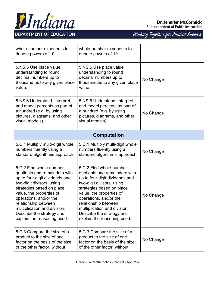

Superintendent of Public Instruction

| whole-number exponents to<br>denote powers of 10.                                                                                                                                                                                                                                                                              | whole-number exponents to<br>denote powers of 10.                                                                                                                                                                                                                                                                              |           |
|--------------------------------------------------------------------------------------------------------------------------------------------------------------------------------------------------------------------------------------------------------------------------------------------------------------------------------|--------------------------------------------------------------------------------------------------------------------------------------------------------------------------------------------------------------------------------------------------------------------------------------------------------------------------------|-----------|
| 5.NS.5 Use place value<br>understanding to round<br>decimal numbers up to<br>thousandths to any given place<br>value.                                                                                                                                                                                                          | 5.NS.5 Use place value<br>understanding to round<br>decimal numbers up to<br>thousandths to any given place<br>value.                                                                                                                                                                                                          | No Change |
| 5.NS.6 Understand, interpret,<br>and model percents as part of<br>a hundred (e.g. by using<br>pictures, diagrams, and other<br>visual models).                                                                                                                                                                                 | 5.NS.6 Understand, interpret,<br>and model percents as part of<br>a hundred (e.g. by using<br>pictures, diagrams, and other<br>visual models).                                                                                                                                                                                 | No Change |
| <b>Computation</b>                                                                                                                                                                                                                                                                                                             |                                                                                                                                                                                                                                                                                                                                |           |
| 5.C.1 Multiply multi-digit whole<br>numbers fluently using a<br>standard algorithmic approach.                                                                                                                                                                                                                                 | 5.C.1 Multiply multi-digit whole<br>numbers fluently using a<br>standard algorithmic approach.                                                                                                                                                                                                                                 | No Change |
| 5.C.2 Find whole-number<br>quotients and remainders with<br>up to four-digit dividends and<br>two-digit divisors, using<br>strategies based on place<br>value, the properties of<br>operations, and/or the<br>relationship between<br>multiplication and division.<br>Describe the strategy and<br>explain the reasoning used. | 5.C.2 Find whole-number<br>quotients and remainders with<br>up to four-digit dividends and<br>two-digit divisors, using<br>strategies based on place<br>value, the properties of<br>operations, and/or the<br>relationship between<br>multiplication and division.<br>Describe the strategy and<br>explain the reasoning used. | No Change |
| 5.C.3 Compare the size of a<br>product to the size of one<br>factor on the basis of the size<br>of the other factor, without                                                                                                                                                                                                   | 5.C.3 Compare the size of a<br>product to the size of one<br>factor on the basis of the size<br>of the other factor, without                                                                                                                                                                                                   | No Change |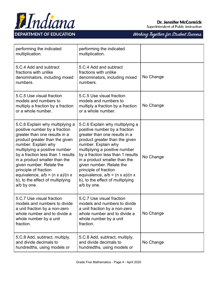

Superintendent of Public Instruction

| performing the indicated<br>multiplication.                                                                                                                                                                                                                                                                                                                                                                                 | performing the indicated<br>multiplication.                                                                                                                                                                                                                                                                                                                                                                                 |           |
|-----------------------------------------------------------------------------------------------------------------------------------------------------------------------------------------------------------------------------------------------------------------------------------------------------------------------------------------------------------------------------------------------------------------------------|-----------------------------------------------------------------------------------------------------------------------------------------------------------------------------------------------------------------------------------------------------------------------------------------------------------------------------------------------------------------------------------------------------------------------------|-----------|
| 5.C.4 Add and subtract<br>fractions with unlike<br>denominators, including mixed<br>numbers.                                                                                                                                                                                                                                                                                                                                | 5.C.4 Add and subtract<br>fractions with unlike<br>denominators, including mixed<br>numbers.                                                                                                                                                                                                                                                                                                                                | No Change |
| 5.C.5 Use visual fraction<br>models and numbers to<br>multiply a fraction by a fraction<br>or a whole number.                                                                                                                                                                                                                                                                                                               | 5.C.5 Use visual fraction<br>models and numbers to<br>multiply a fraction by a fraction<br>or a whole number.                                                                                                                                                                                                                                                                                                               | No Change |
| 5.C.6 Explain why multiplying a<br>positive number by a fraction<br>greater than one results in a<br>product greater than the given<br>number. Explain why<br>multiplying a positive number<br>by a fraction less than 1 results<br>in a product smaller than the<br>given number. Relate the<br>principle of fraction<br>equivalence, $a/b = (n \times a)/(n \times a)$<br>b), to the effect of multiplying<br>a/b by one. | 5.C.6 Explain why multiplying a<br>positive number by a fraction<br>greater than one results in a<br>product greater than the given<br>number. Explain why<br>multiplying a positive number<br>by a fraction less than 1 results<br>in a product smaller than the<br>given number. Relate the<br>principle of fraction<br>equivalence, $a/b = (n \times a)/(n \times a)$<br>b), to the effect of multiplying<br>a/b by one. | No Change |
| 5.C.7 Use visual fraction<br>models and numbers to divide<br>a unit fraction by a non-zero<br>whole number and to divide a<br>whole number by a unit<br>fraction.                                                                                                                                                                                                                                                           | 5.C.7 Use visual fraction<br>models and numbers to divide<br>a unit fraction by a non-zero<br>whole number and to divide a<br>whole number by a unit<br>fraction.                                                                                                                                                                                                                                                           | No Change |
| 5.C.8 Add, subtract, multiply,<br>and divide decimals to<br>hundredths, using models or                                                                                                                                                                                                                                                                                                                                     | 5.C.8 Add, subtract, multiply,<br>and divide decimals to<br>hundredths, using models or                                                                                                                                                                                                                                                                                                                                     | No Change |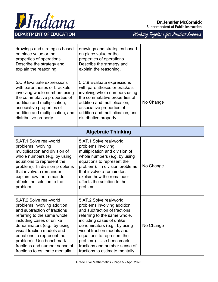

Superintendent of Public Instruction

| drawings and strategies based<br>on place value or the<br>properties of operations.<br>Describe the strategy and<br>explain the reasoning.                                                                                                                                                                                                    | drawings and strategies based<br>on place value or the<br>properties of operations.<br>Describe the strategy and<br>explain the reasoning.                                                                                                                                                                                                    |           |
|-----------------------------------------------------------------------------------------------------------------------------------------------------------------------------------------------------------------------------------------------------------------------------------------------------------------------------------------------|-----------------------------------------------------------------------------------------------------------------------------------------------------------------------------------------------------------------------------------------------------------------------------------------------------------------------------------------------|-----------|
| 5.C.9 Evaluate expressions<br>with parentheses or brackets<br>involving whole numbers using<br>the commutative properties of<br>addition and multiplication,<br>associative properties of<br>addition and multiplication, and<br>distributive property.                                                                                       | 5.C.9 Evaluate expressions<br>with parentheses or brackets<br>involving whole numbers using<br>the commutative properties of<br>addition and multiplication,<br>associative properties of<br>addition and multiplication, and<br>distributive property.                                                                                       | No Change |
|                                                                                                                                                                                                                                                                                                                                               | <b>Algebraic Thinking</b>                                                                                                                                                                                                                                                                                                                     |           |
| 5.AT.1 Solve real-world<br>problems involving<br>multiplication and division of<br>whole numbers (e.g. by using<br>equations to represent the<br>problem). In division problems<br>that involve a remainder,<br>explain how the remainder<br>affects the solution to the<br>problem.                                                          | 5.AT.1 Solve real-world<br>problems involving<br>multiplication and division of<br>whole numbers (e.g. by using<br>equations to represent the<br>problem). In division problems<br>that involve a remainder,<br>explain how the remainder<br>affects the solution to the<br>problem.                                                          | No Change |
| 5.AT.2 Solve real-world<br>problems involving addition<br>and subtraction of fractions<br>referring to the same whole,<br>including cases of unlike<br>denominators (e.g., by using<br>visual fraction models and<br>equations to represent the<br>problem). Use benchmark<br>fractions and number sense of<br>fractions to estimate mentally | 5.AT.2 Solve real-world<br>problems involving addition<br>and subtraction of fractions<br>referring to the same whole,<br>including cases of unlike<br>denominators (e.g., by using<br>visual fraction models and<br>equations to represent the<br>problem). Use benchmark<br>fractions and number sense of<br>fractions to estimate mentally | No Change |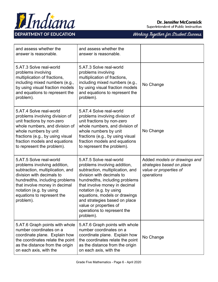

Superintendent of Public Instruction

| and assess whether the<br>answer is reasonable.                                                                                                                                                                                                                   | and assess whether the<br>answer is reasonable.                                                                                                                                                                                                                                                                                                                |                                                                                                   |
|-------------------------------------------------------------------------------------------------------------------------------------------------------------------------------------------------------------------------------------------------------------------|----------------------------------------------------------------------------------------------------------------------------------------------------------------------------------------------------------------------------------------------------------------------------------------------------------------------------------------------------------------|---------------------------------------------------------------------------------------------------|
| 5.AT.3 Solve real-world<br>problems involving<br>multiplication of fractions,<br>including mixed numbers (e.g.,<br>by using visual fraction models<br>and equations to represent the<br>problem).                                                                 | 5.AT.3 Solve real-world<br>problems involving<br>multiplication of fractions,<br>including mixed numbers (e.g.,<br>by using visual fraction models<br>and equations to represent the<br>problem).                                                                                                                                                              | No Change                                                                                         |
| 5.AT.4 Solve real-world<br>problems involving division of<br>unit fractions by non-zero<br>whole numbers, and division of<br>whole numbers by unit<br>fractions (e.g., by using visual<br>fraction models and equations<br>to represent the problem).             | 5.AT.4 Solve real-world<br>problems involving division of<br>unit fractions by non-zero<br>whole numbers, and division of<br>whole numbers by unit<br>fractions (e.g., by using visual<br>fraction models and equations<br>to represent the problem).                                                                                                          | No Change                                                                                         |
| 5.AT.5 Solve real-world<br>problems involving addition,<br>subtraction, multiplication, and<br>division with decimals to<br>hundredths, including problems<br>that involve money in decimal<br>notation (e.g. by using<br>equations to represent the<br>problem). | 5.AT.5 Solve real-world<br>problems involving addition,<br>subtraction, multiplication, and<br>division with decimals to<br>hundredths, including problems<br>that involve money in decimal<br>notation (e.g. by using<br>equations, models or drawings<br>and strategies based on place<br>value or properties of<br>operations to represent the<br>problem). | Added models or drawings and<br>strategies based on place<br>value or properties of<br>operations |
| 5.AT.6 Graph points with whole<br>number coordinates on a<br>coordinate plane. Explain how<br>the coordinates relate the point<br>as the distance from the origin<br>on each axis, with the                                                                       | 5.AT.6 Graph points with whole<br>number coordinates on a<br>coordinate plane. Explain how<br>the coordinates relate the point<br>as the distance from the origin<br>on each axis, with the                                                                                                                                                                    | No Change                                                                                         |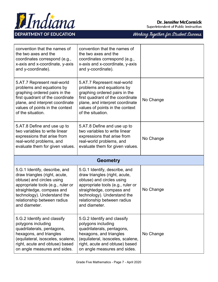

Superintendent of Public Instruction

| convention that the names of<br>the two axes and the<br>coordinates correspond (e.g.,<br>x-axis and x-coordinate, y-axis<br>and y-coordinate).                                                                                               | convention that the names of<br>the two axes and the<br>coordinates correspond (e.g.,<br>x-axis and x-coordinate, y-axis<br>and y-coordinate).                                                                                               |           |
|----------------------------------------------------------------------------------------------------------------------------------------------------------------------------------------------------------------------------------------------|----------------------------------------------------------------------------------------------------------------------------------------------------------------------------------------------------------------------------------------------|-----------|
| 5.AT.7 Represent real-world<br>problems and equations by<br>graphing ordered pairs in the<br>first quadrant of the coordinate<br>plane, and interpret coordinate<br>values of points in the context<br>of the situation.                     | 5.AT.7 Represent real-world<br>problems and equations by<br>graphing ordered pairs in the<br>first quadrant of the coordinate<br>plane, and interpret coordinate<br>values of points in the context<br>of the situation.                     | No Change |
| 5.AT.8 Define and use up to<br>two variables to write linear<br>expressions that arise from<br>real-world problems, and<br>evaluate them for given values.                                                                                   | 5.AT.8 Define and use up to<br>two variables to write linear<br>expressions that arise from<br>real-world problems, and<br>evaluate them for given values.                                                                                   | No Change |
|                                                                                                                                                                                                                                              | <b>Geometry</b>                                                                                                                                                                                                                              |           |
| 5.G.1 Identify, describe, and<br>draw triangles (right, acute,<br>obtuse) and circles using<br>appropriate tools (e.g., ruler or<br>straightedge, compass and<br>technology). Understand the<br>relationship between radius<br>and diameter. | 5.G.1 Identify, describe, and<br>draw triangles (right, acute,<br>obtuse) and circles using<br>appropriate tools (e.g., ruler or<br>straightedge, compass and<br>technology). Understand the<br>relationship between radius<br>and diameter. | No Change |
| 5.G.2 Identify and classify<br>polygons including<br>quadrilaterals, pentagons,                                                                                                                                                              | 5.G.2 Identify and classify<br>polygons including                                                                                                                                                                                            |           |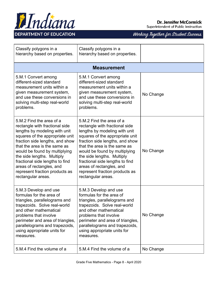

Superintendent of Public Instruction

| Classify polygons in a<br>hierarchy based on properties.                                                                                                                                                                                                                                                                                                                                | Classify polygons in a<br>hierarchy based on properties.                                                                                                                                                                                                                                                                                                                                |           |
|-----------------------------------------------------------------------------------------------------------------------------------------------------------------------------------------------------------------------------------------------------------------------------------------------------------------------------------------------------------------------------------------|-----------------------------------------------------------------------------------------------------------------------------------------------------------------------------------------------------------------------------------------------------------------------------------------------------------------------------------------------------------------------------------------|-----------|
|                                                                                                                                                                                                                                                                                                                                                                                         | <b>Measurement</b>                                                                                                                                                                                                                                                                                                                                                                      |           |
| 5.M.1 Convert among<br>different-sized standard<br>measurement units within a<br>given measurement system,<br>and use these conversions in<br>solving multi-step real-world<br>problems.                                                                                                                                                                                                | 5.M.1 Convert among<br>different-sized standard<br>measurement units within a<br>given measurement system,<br>and use these conversions in<br>solving multi-step real-world<br>problems.                                                                                                                                                                                                | No Change |
| 5.M.2 Find the area of a<br>rectangle with fractional side<br>lengths by modeling with unit<br>squares of the appropriate unit<br>fraction side lengths, and show<br>that the area is the same as<br>would be found by multiplying<br>the side lengths. Multiply<br>fractional side lengths to find<br>areas of rectangles, and<br>represent fraction products as<br>rectangular areas. | 5.M.2 Find the area of a<br>rectangle with fractional side<br>lengths by modeling with unit<br>squares of the appropriate unit<br>fraction side lengths, and show<br>that the area is the same as<br>would be found by multiplying<br>the side lengths. Multiply<br>fractional side lengths to find<br>areas of rectangles, and<br>represent fraction products as<br>rectangular areas. | No Change |
| 5.M.3 Develop and use<br>formulas for the area of<br>triangles, parallelograms and<br>trapezoids. Solve real-world<br>and other mathematical<br>problems that involve<br>perimeter and area of triangles,<br>parallelograms and trapezoids,<br>using appropriate units for<br>measures.                                                                                                 | 5.M.3 Develop and use<br>formulas for the area of<br>triangles, parallelograms and<br>trapezoids. Solve real-world<br>and other mathematical<br>problems that involve<br>perimeter and area of triangles,<br>parallelograms and trapezoids,<br>using appropriate units for<br>measures.                                                                                                 | No Change |
| 5.M.4 Find the volume of a                                                                                                                                                                                                                                                                                                                                                              | 5.M.4 Find the volume of a                                                                                                                                                                                                                                                                                                                                                              | No Change |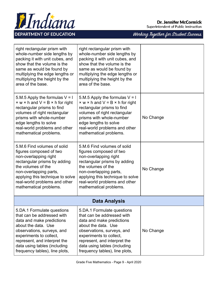

Superintendent of Public Instruction

| right rectangular prism with<br>whole-number side lengths by<br>packing it with unit cubes, and<br>show that the volume is the<br>same as would be found by<br>multiplying the edge lengths or<br>multiplying the height by the<br>area of the base.                    | right rectangular prism with<br>whole-number side lengths by<br>packing it with unit cubes, and<br>show that the volume is the<br>same as would be found by<br>multiplying the edge lengths or<br>multiplying the height by the<br>area of the base.                    |           |
|-------------------------------------------------------------------------------------------------------------------------------------------------------------------------------------------------------------------------------------------------------------------------|-------------------------------------------------------------------------------------------------------------------------------------------------------------------------------------------------------------------------------------------------------------------------|-----------|
| 5.M.5 Apply the formulas $V = I$<br>$\times w \times h$ and V = B $\times h$ for right<br>rectangular prisms to find<br>volumes of right rectangular<br>prisms with whole-number<br>edge lengths to solve<br>real-world problems and other<br>mathematical problems.    | 5.M.5 Apply the formulas $V = I$<br>$\times w \times h$ and $V = B \times h$ for right<br>rectangular prisms to find<br>volumes of right rectangular<br>prisms with whole-number<br>edge lengths to solve<br>real-world problems and other<br>mathematical problems.    | No Change |
| 5.M.6 Find volumes of solid<br>figures composed of two<br>non-overlapping right<br>rectangular prisms by adding<br>the volumes of the<br>non-overlapping parts,<br>applying this technique to solve<br>real-world problems and other<br>mathematical problems.          | 5.M.6 Find volumes of solid<br>figures composed of two<br>non-overlapping right<br>rectangular prisms by adding<br>the volumes of the<br>non-overlapping parts,<br>applying this technique to solve<br>real-world problems and other<br>mathematical problems.          | No Change |
| <b>Data Analysis</b>                                                                                                                                                                                                                                                    |                                                                                                                                                                                                                                                                         |           |
| 5.DA.1 Formulate questions<br>that can be addressed with<br>data and make predictions<br>about the data. Use<br>observations, surveys, and<br>experiments to collect,<br>represent, and interpret the<br>data using tables (including<br>frequency tables), line plots, | 5.DA.1 Formulate questions<br>that can be addressed with<br>data and make predictions<br>about the data. Use<br>observations, surveys, and<br>experiments to collect,<br>represent, and interpret the<br>data using tables (including<br>frequency tables), line plots, | No Change |